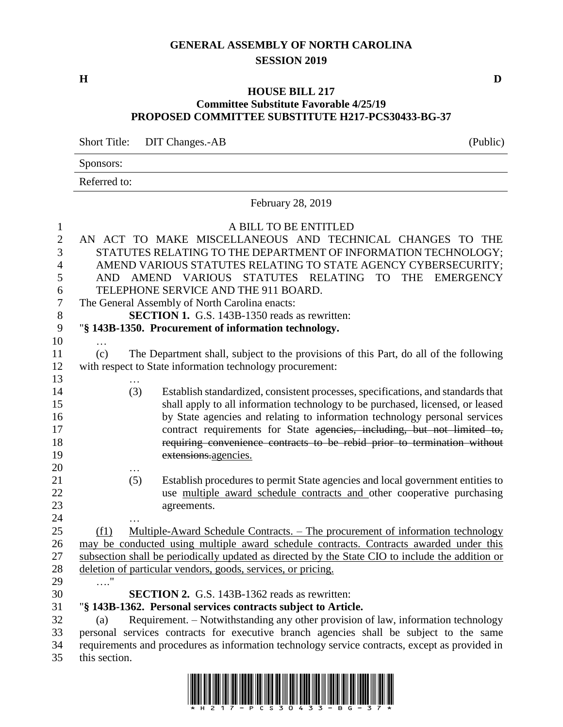## **GENERAL ASSEMBLY OF NORTH CAROLINA SESSION 2019**

**H D**

### **HOUSE BILL 217 Committee Substitute Favorable 4/25/19 PROPOSED COMMITTEE SUBSTITUTE H217-PCS30433-BG-37**

Short Title: DIT Changes.-AB (Public)

|              | ັ |  |
|--------------|---|--|
| Sponsors:    |   |  |
| Referred to: |   |  |
|              |   |  |

February 28, 2019

| $\mathbf{1}$     |               |     | A BILL TO BE ENTITLED                                                                                                                              |
|------------------|---------------|-----|----------------------------------------------------------------------------------------------------------------------------------------------------|
| $\boldsymbol{2}$ |               |     | AN ACT TO MAKE MISCELLANEOUS AND TECHNICAL CHANGES TO THE                                                                                          |
| 3                |               |     | STATUTES RELATING TO THE DEPARTMENT OF INFORMATION TECHNOLOGY;                                                                                     |
| $\overline{4}$   |               |     | AMEND VARIOUS STATUTES RELATING TO STATE AGENCY CYBERSECURITY;                                                                                     |
| 5                | AND.          |     | STATUTES RELATING TO<br><b>THE</b><br>AMEND VARIOUS<br><b>EMERGENCY</b>                                                                            |
| 6                |               |     | TELEPHONE SERVICE AND THE 911 BOARD.                                                                                                               |
| $\overline{7}$   |               |     | The General Assembly of North Carolina enacts:                                                                                                     |
| 8                |               |     | <b>SECTION 1.</b> G.S. 143B-1350 reads as rewritten:                                                                                               |
| 9                |               |     | "§ 143B-1350. Procurement of information technology.                                                                                               |
| 10               |               |     |                                                                                                                                                    |
| 11               | (c)           |     | The Department shall, subject to the provisions of this Part, do all of the following                                                              |
| 12               |               |     | with respect to State information technology procurement:                                                                                          |
| 13               |               |     |                                                                                                                                                    |
| 14               |               | (3) | Establish standardized, consistent processes, specifications, and standards that                                                                   |
| 15               |               |     | shall apply to all information technology to be purchased, licensed, or leased                                                                     |
| 16               |               |     | by State agencies and relating to information technology personal services                                                                         |
| 17               |               |     | contract requirements for State agencies, including, but not limited to,                                                                           |
| 18               |               |     | requiring convenience contracts to be rebid prior to termination without                                                                           |
| 19               |               |     | extensions.agencies.                                                                                                                               |
| 20               |               |     |                                                                                                                                                    |
| 21               |               | (5) | Establish procedures to permit State agencies and local government entities to                                                                     |
| 22               |               |     | use multiple award schedule contracts and other cooperative purchasing                                                                             |
| 23               |               |     | agreements.                                                                                                                                        |
| 24               |               |     |                                                                                                                                                    |
| 25               | (f1)          |     | Multiple-Award Schedule Contracts. – The procurement of information technology                                                                     |
| 26               |               |     | may be conducted using multiple award schedule contracts. Contracts awarded under this                                                             |
| 27               |               |     | subsection shall be periodically updated as directed by the State CIO to include the addition or                                                   |
| 28               |               |     | deletion of particular vendors, goods, services, or pricing.                                                                                       |
| 29               | $\ldots$ "    |     | <b>SECTION 2.</b> G.S. 143B-1362 reads as rewritten:                                                                                               |
| 30<br>31         |               |     |                                                                                                                                                    |
| 32               | (a)           |     | "§ 143B-1362. Personal services contracts subject to Article.<br>Requirement. – Notwithstanding any other provision of law, information technology |
| 33               |               |     | personal services contracts for executive branch agencies shall be subject to the same                                                             |
| 34               |               |     | requirements and procedures as information technology service contracts, except as provided in                                                     |
| 35               | this section. |     |                                                                                                                                                    |
|                  |               |     |                                                                                                                                                    |

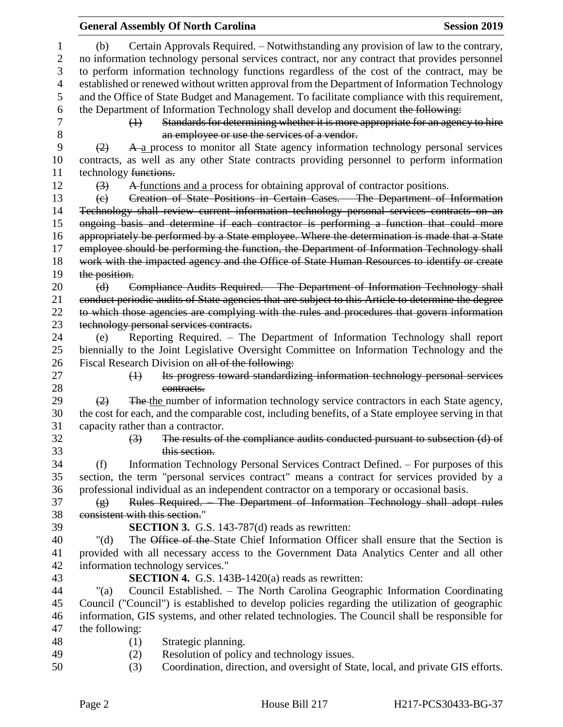|                                    | <b>General Assembly Of North Carolina</b>                                                           | <b>Session 2019</b> |
|------------------------------------|-----------------------------------------------------------------------------------------------------|---------------------|
| (b)                                | Certain Approvals Required. – Notwithstanding any provision of law to the contrary,                 |                     |
|                                    | no information technology personal services contract, nor any contract that provides personnel      |                     |
|                                    | to perform information technology functions regardless of the cost of the contract, may be          |                     |
|                                    | established or renewed without written approval from the Department of Information Technology       |                     |
|                                    | and the Office of State Budget and Management. To facilitate compliance with this requirement,      |                     |
|                                    | the Department of Information Technology shall develop and document the following:                  |                     |
| $\leftrightarrow$                  | Standards for determining whether it is more appropriate for an agency to hire                      |                     |
|                                    | an employee or use the services of a vendor.                                                        |                     |
| (2)                                | A a process to monitor all State agency information technology personal services                    |                     |
|                                    | contracts, as well as any other State contracts providing personnel to perform information          |                     |
| technology functions.              |                                                                                                     |                     |
| (3)                                | A functions and a process for obtaining approval of contractor positions.                           |                     |
| $\left(\mathrm{e}\right)$          | Creation of State Positions in Certain Cases. The Department of Information                         |                     |
|                                    | Technology shall review current information technology personal services contracts on an            |                     |
|                                    | ongoing basis and determine if each contractor is performing a function that could more             |                     |
|                                    | appropriately be performed by a State employee. Where the determination is made that a State        |                     |
|                                    | employee should be performing the function, the Department of Information Technology shall          |                     |
|                                    | work with the impacted agency and the Office of State Human Resources to identify or create         |                     |
| the position.                      |                                                                                                     |                     |
| (d)                                | Compliance Audits Required. - The Department of Information Technology shall                        |                     |
|                                    | conduct periodic audits of State agencies that are subject to this Article to determine the degree  |                     |
|                                    | to which those agencies are complying with the rules and procedures that govern information         |                     |
|                                    | technology personal services contracts.                                                             |                     |
| (e)                                | Reporting Required. - The Department of Information Technology shall report                         |                     |
|                                    | biennially to the Joint Legislative Oversight Committee on Information Technology and the           |                     |
|                                    | Fiscal Research Division on all of the following:                                                   |                     |
| $\leftrightarrow$                  | Its progress toward standardizing information technology personal services                          |                     |
|                                    | contracts.                                                                                          |                     |
| (2)                                | The the number of information technology service contractors in each State agency,                  |                     |
|                                    | the cost for each, and the comparable cost, including benefits, of a State employee serving in that |                     |
| capacity rather than a contractor. |                                                                                                     |                     |
| $\left(3\right)$                   | The results of the compliance audits conducted pursuant to subsection (d) of                        |                     |
|                                    | this section.                                                                                       |                     |
| (f)                                | Information Technology Personal Services Contract Defined. – For purposes of this                   |                     |
|                                    | section, the term "personal services contract" means a contract for services provided by a          |                     |
|                                    | professional individual as an independent contractor on a temporary or occasional basis.            |                     |
| $\left( \frac{1}{2} \right)$       | Rules Required. The Department of Information Technology shall adopt rules                          |                     |
| consistent with this section."     |                                                                                                     |                     |
|                                    | <b>SECTION 3.</b> G.S. 143-787(d) reads as rewritten:                                               |                     |
| " $(d)$                            | The Office of the State Chief Information Officer shall ensure that the Section is                  |                     |
|                                    | provided with all necessary access to the Government Data Analytics Center and all other            |                     |
|                                    | information technology services."                                                                   |                     |
|                                    | <b>SECTION 4.</b> G.S. 143B-1420(a) reads as rewritten:                                             |                     |
| " $(a)$                            | Council Established. - The North Carolina Geographic Information Coordinating                       |                     |
|                                    | Council ("Council") is established to develop policies regarding the utilization of geographic      |                     |
|                                    | information, GIS systems, and other related technologies. The Council shall be responsible for      |                     |
| the following:                     |                                                                                                     |                     |
| (1)                                | Strategic planning.                                                                                 |                     |
| (2)                                | Resolution of policy and technology issues.                                                         |                     |
| (3)                                | Coordination, direction, and oversight of State, local, and private GIS efforts.                    |                     |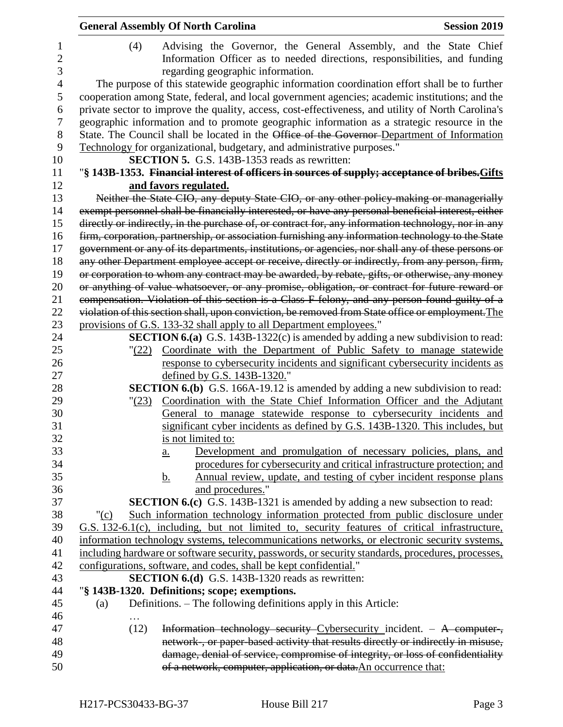|                          | <b>General Assembly Of North Carolina</b><br><b>Session 2019</b>                                                                                                                           |
|--------------------------|--------------------------------------------------------------------------------------------------------------------------------------------------------------------------------------------|
| 1<br>$\overline{c}$<br>3 | Advising the Governor, the General Assembly, and the State Chief<br>(4)<br>Information Officer as to needed directions, responsibilities, and funding<br>regarding geographic information. |
| $\overline{4}$           | The purpose of this statewide geographic information coordination effort shall be to further                                                                                               |
| 5                        | cooperation among State, federal, and local government agencies; academic institutions; and the                                                                                            |
| 6                        | private sector to improve the quality, access, cost-effectiveness, and utility of North Carolina's                                                                                         |
| $\overline{7}$           | geographic information and to promote geographic information as a strategic resource in the                                                                                                |
| 8                        | State. The Council shall be located in the Office of the Governor-Department of Information                                                                                                |
| 9                        | Technology for organizational, budgetary, and administrative purposes."                                                                                                                    |
| 10                       | <b>SECTION 5.</b> G.S. 143B-1353 reads as rewritten:                                                                                                                                       |
| 11                       | "§ 143B-1353. Financial interest of officers in sources of supply; acceptance of bribes. Gifts                                                                                             |
| 12                       | and favors regulated.                                                                                                                                                                      |
| 13                       | Neither the State CIO, any deputy State CIO, or any other policy-making or managerially                                                                                                    |
| 14                       | exempt personnel shall be financially interested, or have any personal beneficial interest, either                                                                                         |
| 15                       | directly or indirectly, in the purchase of, or contract for, any information technology, nor in any                                                                                        |
| 16                       | firm, corporation, partnership, or association furnishing any information technology to the State                                                                                          |
| 17                       | government or any of its departments, institutions, or agencies, nor shall any of these persons or                                                                                         |
| 18                       | any other Department employee accept or receive, directly or indirectly, from any person, firm,                                                                                            |
| 19                       | or corporation to whom any contract may be awarded, by rebate, gifts, or otherwise, any money                                                                                              |
| 20                       | or anything of value whatsoever, or any promise, obligation, or contract for future reward or                                                                                              |
| 21                       | compensation. Violation of this section is a Class F felony, and any person found guilty of a                                                                                              |
| 22                       | violation of this section shall, upon conviction, be removed from State office or employment. The                                                                                          |
| 23                       | provisions of G.S. 133-32 shall apply to all Department employees."                                                                                                                        |
| 24                       | <b>SECTION 6.(a)</b> G.S. 143B-1322(c) is amended by adding a new subdivision to read:                                                                                                     |
| 25                       | Coordinate with the Department of Public Safety to manage statewide<br>(22)                                                                                                                |
| 26                       | response to cybersecurity incidents and significant cybersecurity incidents as                                                                                                             |
| 27                       | defined by G.S. 143B-1320."                                                                                                                                                                |
| 28                       | <b>SECTION 6.(b)</b> G.S. 166A-19.12 is amended by adding a new subdivision to read:                                                                                                       |
| 29                       | Coordination with the State Chief Information Officer and the Adjutant<br>"(23)                                                                                                            |
| 30                       | General to manage statewide response to cybersecurity incidents and                                                                                                                        |
| 31                       | significant cyber incidents as defined by G.S. 143B-1320. This includes, but                                                                                                               |
| 32                       | is not limited to:                                                                                                                                                                         |
| 33                       | Development and promulgation of necessary policies, plans, and<br>$\underline{a}$ .                                                                                                        |
| 34                       | procedures for cybersecurity and critical infrastructure protection; and                                                                                                                   |
| 35                       | Annual review, update, and testing of cyber incident response plans<br><u>b.</u>                                                                                                           |
| 36                       | and procedures."                                                                                                                                                                           |
| 37                       | <b>SECTION 6.(c)</b> G.S. 143B-1321 is amended by adding a new subsection to read:                                                                                                         |
| 38                       | Such information technology information protected from public disclosure under<br>" $(c)$                                                                                                  |
| 39                       | G.S. 132-6.1(c), including, but not limited to, security features of critical infrastructure,                                                                                              |
| 40                       | information technology systems, telecommunications networks, or electronic security systems,                                                                                               |
| 41                       | including hardware or software security, passwords, or security standards, procedures, processes,                                                                                          |
| 42                       | configurations, software, and codes, shall be kept confidential."                                                                                                                          |
| 43                       | <b>SECTION 6.(d)</b> G.S. 143B-1320 reads as rewritten:                                                                                                                                    |
| 44                       | "§ 143B-1320. Definitions; scope; exemptions.                                                                                                                                              |
| 45                       | Definitions. – The following definitions apply in this Article:<br>(a)                                                                                                                     |
| 46                       |                                                                                                                                                                                            |
| 47                       | Information technology security Cybersecurity incident. - A computer,<br>(12)                                                                                                              |
| 48                       | network, or paper based activity that results directly or indirectly in misuse,                                                                                                            |
| 49                       | damage, denial of service, compromise of integrity, or loss of confidentiality                                                                                                             |
| 50                       | of a network, computer, application, or data. An occurrence that:                                                                                                                          |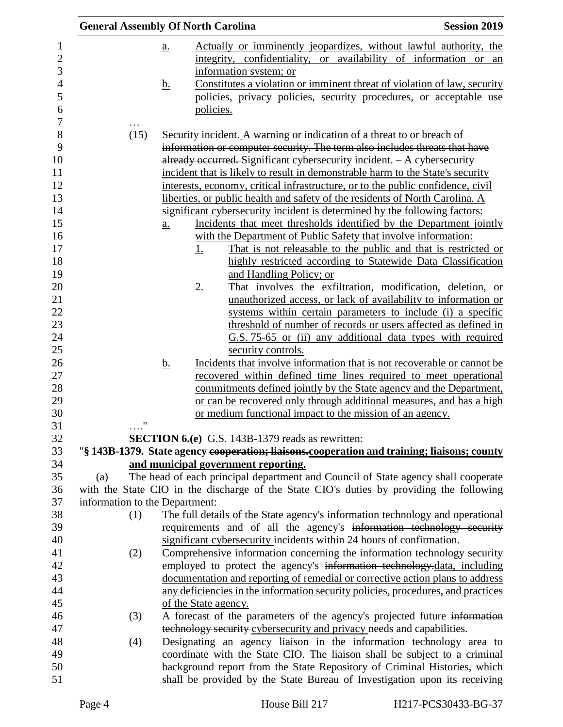|                                | <b>General Assembly Of North Carolina</b>                                                                                                             | <b>Session 2019</b> |
|--------------------------------|-------------------------------------------------------------------------------------------------------------------------------------------------------|---------------------|
|                                | Actually or imminently jeopardizes, without lawful authority, the<br>a.                                                                               |                     |
|                                | integrity, confidentiality, or availability of information or an                                                                                      |                     |
|                                | information system; or                                                                                                                                |                     |
|                                | Constitutes a violation or imminent threat of violation of law, security<br><u>b.</u>                                                                 |                     |
|                                | policies, privacy policies, security procedures, or acceptable use                                                                                    |                     |
|                                | policies.                                                                                                                                             |                     |
| $\cdots$                       |                                                                                                                                                       |                     |
| (15)                           | Security incident. A warning or indication of a threat to or breach of                                                                                |                     |
|                                | information or computer security. The term also includes threats that have                                                                            |                     |
|                                | already occurred. Significant cybersecurity incident. - A cybersecurity                                                                               |                     |
|                                | incident that is likely to result in demonstrable harm to the State's security                                                                        |                     |
|                                | interests, economy, critical infrastructure, or to the public confidence, civil                                                                       |                     |
|                                | liberties, or public health and safety of the residents of North Carolina. A                                                                          |                     |
|                                | significant cybersecurity incident is determined by the following factors:                                                                            |                     |
|                                | Incidents that meet thresholds identified by the Department jointly<br>$\underline{a}$ .                                                              |                     |
|                                | with the Department of Public Safety that involve information:                                                                                        |                     |
|                                | That is not releasable to the public and that is restricted or<br>$\underline{1}$ .                                                                   |                     |
|                                | highly restricted according to Statewide Data Classification                                                                                          |                     |
|                                | and Handling Policy; or                                                                                                                               |                     |
|                                | That involves the exfiltration, modification, deletion, or<br>2.<br>unauthorized access, or lack of availability to information or                    |                     |
|                                | systems within certain parameters to include (i) a specific                                                                                           |                     |
|                                | threshold of number of records or users affected as defined in                                                                                        |                     |
|                                | G.S. 75-65 or (ii) any additional data types with required                                                                                            |                     |
|                                | security controls.                                                                                                                                    |                     |
|                                | <u>b.</u><br>Incidents that involve information that is not recoverable or cannot be                                                                  |                     |
|                                | recovered within defined time lines required to meet operational                                                                                      |                     |
|                                | commitments defined jointly by the State agency and the Department,                                                                                   |                     |
|                                | or can be recovered only through additional measures, and has a high                                                                                  |                     |
|                                | or medium functional impact to the mission of an agency.                                                                                              |                     |
| $^{\prime\prime}$<br>$\cdots$  |                                                                                                                                                       |                     |
|                                | <b>SECTION 6.(e)</b> G.S. 143B-1379 reads as rewritten:                                                                                               |                     |
|                                | "§ 143B-1379. State agency cooperation; liaisons.cooperation and training; liaisons; county                                                           |                     |
|                                | and municipal government reporting.                                                                                                                   |                     |
| (a)                            | The head of each principal department and Council of State agency shall cooperate                                                                     |                     |
| information to the Department: | with the State CIO in the discharge of the State CIO's duties by providing the following                                                              |                     |
| (1)                            | The full details of the State agency's information technology and operational                                                                         |                     |
|                                | requirements and of all the agency's information technology security                                                                                  |                     |
|                                | significant cybersecurity incidents within 24 hours of confirmation.                                                                                  |                     |
| (2)                            | Comprehensive information concerning the information technology security                                                                              |                     |
|                                | employed to protect the agency's information technology-data, including                                                                               |                     |
|                                | documentation and reporting of remedial or corrective action plans to address                                                                         |                     |
|                                | any deficiencies in the information security policies, procedures, and practices                                                                      |                     |
|                                |                                                                                                                                                       |                     |
|                                |                                                                                                                                                       |                     |
|                                | of the State agency.                                                                                                                                  |                     |
| (3)                            | A forecast of the parameters of the agency's projected future information                                                                             |                     |
|                                | technology security cybersecurity and privacy needs and capabilities.                                                                                 |                     |
| (4)                            | Designating an agency liaison in the information technology area to                                                                                   |                     |
|                                | coordinate with the State CIO. The liaison shall be subject to a criminal<br>background report from the State Repository of Criminal Histories, which |                     |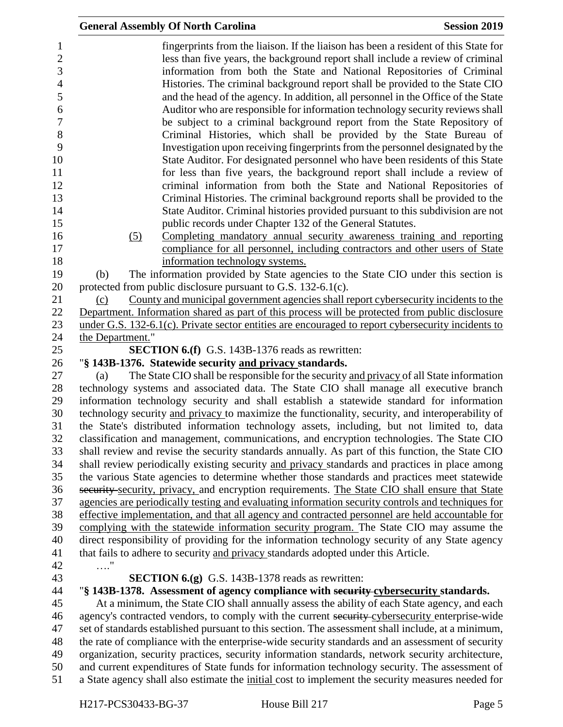| <b>General Assembly Of North Carolina</b>                     |                                                                                                                                                                                                                                                                                                                                                                                                                                                                                                                                                                                                                                                                                                                                                                                                                                                                                                                                                                                | <b>Session 2019</b> |
|---------------------------------------------------------------|--------------------------------------------------------------------------------------------------------------------------------------------------------------------------------------------------------------------------------------------------------------------------------------------------------------------------------------------------------------------------------------------------------------------------------------------------------------------------------------------------------------------------------------------------------------------------------------------------------------------------------------------------------------------------------------------------------------------------------------------------------------------------------------------------------------------------------------------------------------------------------------------------------------------------------------------------------------------------------|---------------------|
|                                                               | fingerprints from the liaison. If the liaison has been a resident of this State for<br>less than five years, the background report shall include a review of criminal<br>information from both the State and National Repositories of Criminal<br>Histories. The criminal background report shall be provided to the State CIO<br>and the head of the agency. In addition, all personnel in the Office of the State<br>Auditor who are responsible for information technology security reviews shall<br>be subject to a criminal background report from the State Repository of<br>Criminal Histories, which shall be provided by the State Bureau of<br>Investigation upon receiving fingerprints from the personnel designated by the<br>State Auditor. For designated personnel who have been residents of this State<br>for less than five years, the background report shall include a review of<br>criminal information from both the State and National Repositories of |                     |
|                                                               | Criminal Histories. The criminal background reports shall be provided to the                                                                                                                                                                                                                                                                                                                                                                                                                                                                                                                                                                                                                                                                                                                                                                                                                                                                                                   |                     |
|                                                               | State Auditor. Criminal histories provided pursuant to this subdivision are not                                                                                                                                                                                                                                                                                                                                                                                                                                                                                                                                                                                                                                                                                                                                                                                                                                                                                                |                     |
|                                                               | public records under Chapter 132 of the General Statutes.                                                                                                                                                                                                                                                                                                                                                                                                                                                                                                                                                                                                                                                                                                                                                                                                                                                                                                                      |                     |
| (5)                                                           | Completing mandatory annual security awareness training and reporting                                                                                                                                                                                                                                                                                                                                                                                                                                                                                                                                                                                                                                                                                                                                                                                                                                                                                                          |                     |
|                                                               | compliance for all personnel, including contractors and other users of State                                                                                                                                                                                                                                                                                                                                                                                                                                                                                                                                                                                                                                                                                                                                                                                                                                                                                                   |                     |
| (b)                                                           | information technology systems.<br>The information provided by State agencies to the State CIO under this section is                                                                                                                                                                                                                                                                                                                                                                                                                                                                                                                                                                                                                                                                                                                                                                                                                                                           |                     |
| protected from public disclosure pursuant to G.S. 132-6.1(c). |                                                                                                                                                                                                                                                                                                                                                                                                                                                                                                                                                                                                                                                                                                                                                                                                                                                                                                                                                                                |                     |
| (c)                                                           | County and municipal government agencies shall report cybersecurity incidents to the                                                                                                                                                                                                                                                                                                                                                                                                                                                                                                                                                                                                                                                                                                                                                                                                                                                                                           |                     |
|                                                               | Department. Information shared as part of this process will be protected from public disclosure                                                                                                                                                                                                                                                                                                                                                                                                                                                                                                                                                                                                                                                                                                                                                                                                                                                                                |                     |
|                                                               | under G.S. 132-6.1(c). Private sector entities are encouraged to report cybersecurity incidents to                                                                                                                                                                                                                                                                                                                                                                                                                                                                                                                                                                                                                                                                                                                                                                                                                                                                             |                     |
| the Department."                                              |                                                                                                                                                                                                                                                                                                                                                                                                                                                                                                                                                                                                                                                                                                                                                                                                                                                                                                                                                                                |                     |
|                                                               | <b>SECTION 6.(f)</b> G.S. 143B-1376 reads as rewritten:                                                                                                                                                                                                                                                                                                                                                                                                                                                                                                                                                                                                                                                                                                                                                                                                                                                                                                                        |                     |
| "§ 143B-1376. Statewide security and privacy standards.       |                                                                                                                                                                                                                                                                                                                                                                                                                                                                                                                                                                                                                                                                                                                                                                                                                                                                                                                                                                                |                     |
| (a)                                                           | The State CIO shall be responsible for the security and privacy of all State information                                                                                                                                                                                                                                                                                                                                                                                                                                                                                                                                                                                                                                                                                                                                                                                                                                                                                       |                     |
|                                                               | technology systems and associated data. The State CIO shall manage all executive branch                                                                                                                                                                                                                                                                                                                                                                                                                                                                                                                                                                                                                                                                                                                                                                                                                                                                                        |                     |
|                                                               | information technology security and shall establish a statewide standard for information                                                                                                                                                                                                                                                                                                                                                                                                                                                                                                                                                                                                                                                                                                                                                                                                                                                                                       |                     |
|                                                               | technology security and privacy to maximize the functionality, security, and interoperability of                                                                                                                                                                                                                                                                                                                                                                                                                                                                                                                                                                                                                                                                                                                                                                                                                                                                               |                     |
|                                                               | the State's distributed information technology assets, including, but not limited to, data<br>classification and management, communications, and encryption technologies. The State CIO                                                                                                                                                                                                                                                                                                                                                                                                                                                                                                                                                                                                                                                                                                                                                                                        |                     |
|                                                               | shall review and revise the security standards annually. As part of this function, the State CIO                                                                                                                                                                                                                                                                                                                                                                                                                                                                                                                                                                                                                                                                                                                                                                                                                                                                               |                     |
|                                                               | shall review periodically existing security and privacy standards and practices in place among                                                                                                                                                                                                                                                                                                                                                                                                                                                                                                                                                                                                                                                                                                                                                                                                                                                                                 |                     |
|                                                               | the various State agencies to determine whether those standards and practices meet statewide                                                                                                                                                                                                                                                                                                                                                                                                                                                                                                                                                                                                                                                                                                                                                                                                                                                                                   |                     |
|                                                               | security security, privacy, and encryption requirements. The State CIO shall ensure that State                                                                                                                                                                                                                                                                                                                                                                                                                                                                                                                                                                                                                                                                                                                                                                                                                                                                                 |                     |
|                                                               | agencies are periodically testing and evaluating information security controls and techniques for                                                                                                                                                                                                                                                                                                                                                                                                                                                                                                                                                                                                                                                                                                                                                                                                                                                                              |                     |
|                                                               | effective implementation, and that all agency and contracted personnel are held accountable for                                                                                                                                                                                                                                                                                                                                                                                                                                                                                                                                                                                                                                                                                                                                                                                                                                                                                |                     |
|                                                               | complying with the statewide information security program. The State CIO may assume the                                                                                                                                                                                                                                                                                                                                                                                                                                                                                                                                                                                                                                                                                                                                                                                                                                                                                        |                     |
|                                                               | direct responsibility of providing for the information technology security of any State agency                                                                                                                                                                                                                                                                                                                                                                                                                                                                                                                                                                                                                                                                                                                                                                                                                                                                                 |                     |
|                                                               | that fails to adhere to security and privacy standards adopted under this Article.                                                                                                                                                                                                                                                                                                                                                                                                                                                                                                                                                                                                                                                                                                                                                                                                                                                                                             |                     |
| . "                                                           |                                                                                                                                                                                                                                                                                                                                                                                                                                                                                                                                                                                                                                                                                                                                                                                                                                                                                                                                                                                |                     |
|                                                               | <b>SECTION 6.(g)</b> G.S. 143B-1378 reads as rewritten:                                                                                                                                                                                                                                                                                                                                                                                                                                                                                                                                                                                                                                                                                                                                                                                                                                                                                                                        |                     |
|                                                               | "§ 143B-1378. Assessment of agency compliance with security cybersecurity standards.                                                                                                                                                                                                                                                                                                                                                                                                                                                                                                                                                                                                                                                                                                                                                                                                                                                                                           |                     |
|                                                               | At a minimum, the State CIO shall annually assess the ability of each State agency, and each                                                                                                                                                                                                                                                                                                                                                                                                                                                                                                                                                                                                                                                                                                                                                                                                                                                                                   |                     |
|                                                               | agency's contracted vendors, to comply with the current security cybersecurity enterprise-wide                                                                                                                                                                                                                                                                                                                                                                                                                                                                                                                                                                                                                                                                                                                                                                                                                                                                                 |                     |
|                                                               | set of standards established pursuant to this section. The assessment shall include, at a minimum,                                                                                                                                                                                                                                                                                                                                                                                                                                                                                                                                                                                                                                                                                                                                                                                                                                                                             |                     |
|                                                               | the rate of compliance with the enterprise-wide security standards and an assessment of security                                                                                                                                                                                                                                                                                                                                                                                                                                                                                                                                                                                                                                                                                                                                                                                                                                                                               |                     |
|                                                               | organization, security practices, security information standards, network security architecture,                                                                                                                                                                                                                                                                                                                                                                                                                                                                                                                                                                                                                                                                                                                                                                                                                                                                               |                     |
|                                                               | and current expenditures of State funds for information technology security. The assessment of                                                                                                                                                                                                                                                                                                                                                                                                                                                                                                                                                                                                                                                                                                                                                                                                                                                                                 |                     |
|                                                               | a State agency shall also estimate the initial cost to implement the security measures needed for                                                                                                                                                                                                                                                                                                                                                                                                                                                                                                                                                                                                                                                                                                                                                                                                                                                                              |                     |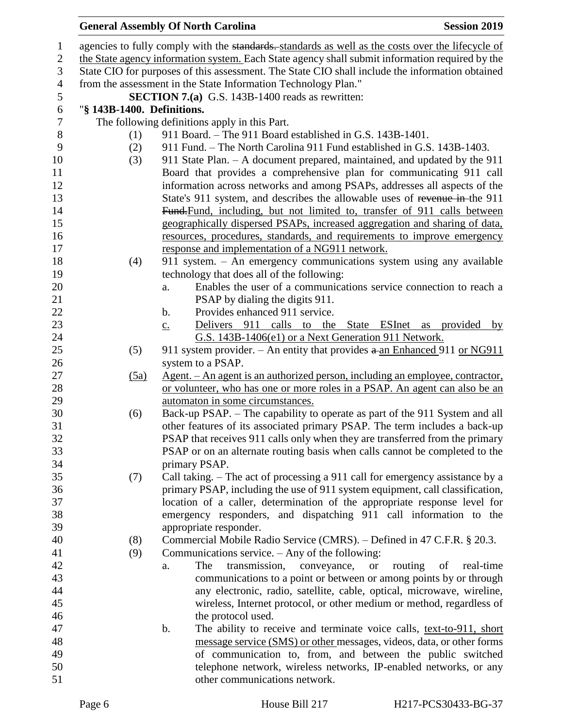# **General Assembly Of North Carolina Session 2019**

| $\mathbf{1}$   |                                                                                                 | agencies to fully comply with the standards. standards as well as the costs over the lifecycle of              |  |  |  |
|----------------|-------------------------------------------------------------------------------------------------|----------------------------------------------------------------------------------------------------------------|--|--|--|
| $\mathbf{2}$   | the State agency information system. Each State agency shall submit information required by the |                                                                                                                |  |  |  |
| $\mathfrak{Z}$ | State CIO for purposes of this assessment. The State CIO shall include the information obtained |                                                                                                                |  |  |  |
| $\overline{4}$ |                                                                                                 | from the assessment in the State Information Technology Plan."                                                 |  |  |  |
| $\sqrt{5}$     |                                                                                                 | <b>SECTION 7.(a)</b> G.S. 143B-1400 reads as rewritten:                                                        |  |  |  |
| $\sqrt{6}$     | "§ 143B-1400. Definitions.                                                                      |                                                                                                                |  |  |  |
| $\tau$         |                                                                                                 | The following definitions apply in this Part.                                                                  |  |  |  |
| 8              | (1)                                                                                             | 911 Board. - The 911 Board established in G.S. 143B-1401.                                                      |  |  |  |
| 9              | (2)                                                                                             | 911 Fund. – The North Carolina 911 Fund established in G.S. 143B-1403.                                         |  |  |  |
| 10             | (3)                                                                                             | 911 State Plan. - A document prepared, maintained, and updated by the 911                                      |  |  |  |
| 11             |                                                                                                 | Board that provides a comprehensive plan for communicating 911 call                                            |  |  |  |
| 12             |                                                                                                 | information across networks and among PSAPs, addresses all aspects of the                                      |  |  |  |
| 13             |                                                                                                 | State's 911 system, and describes the allowable uses of revenue in-the 911                                     |  |  |  |
| 14             |                                                                                                 | Fund-Fund, including, but not limited to, transfer of 911 calls between                                        |  |  |  |
| 15             |                                                                                                 | geographically dispersed PSAPs, increased aggregation and sharing of data,                                     |  |  |  |
| 16             |                                                                                                 | resources, procedures, standards, and requirements to improve emergency                                        |  |  |  |
| 17             |                                                                                                 | response and implementation of a NG911 network.                                                                |  |  |  |
| 18             | (4)                                                                                             | 911 system. - An emergency communications system using any available                                           |  |  |  |
| 19             |                                                                                                 | technology that does all of the following:                                                                     |  |  |  |
| 20             |                                                                                                 | Enables the user of a communications service connection to reach a<br>a.                                       |  |  |  |
| 21             |                                                                                                 | PSAP by dialing the digits 911.                                                                                |  |  |  |
| 22             |                                                                                                 | Provides enhanced 911 service.<br>$\mathbf b$ .                                                                |  |  |  |
| 23             |                                                                                                 | Delivers 911 calls to the State ESInet<br>provided by<br>as<br>$\underline{c}$ .                               |  |  |  |
| 24             |                                                                                                 | G.S. 143B-1406(e1) or a Next Generation 911 Network.                                                           |  |  |  |
| 25             | (5)                                                                                             | 911 system provider. – An entity that provides $a$ -an Enhanced 911 or NG911                                   |  |  |  |
| 26             |                                                                                                 | system to a PSAP.                                                                                              |  |  |  |
| 27<br>28       | (5a)                                                                                            | Agent. – An agent is an authorized person, including an employee, contractor,                                  |  |  |  |
| 29             |                                                                                                 | or volunteer, who has one or more roles in a PSAP. An agent can also be an<br>automaton in some circumstances. |  |  |  |
| 30             | (6)                                                                                             | Back-up PSAP. – The capability to operate as part of the 911 System and all                                    |  |  |  |
| 31             |                                                                                                 | other features of its associated primary PSAP. The term includes a back-up                                     |  |  |  |
| 32             |                                                                                                 | PSAP that receives 911 calls only when they are transferred from the primary                                   |  |  |  |
| 33             |                                                                                                 | PSAP or on an alternate routing basis when calls cannot be completed to the                                    |  |  |  |
| 34             |                                                                                                 | primary PSAP.                                                                                                  |  |  |  |
| 35             | (7)                                                                                             | Call taking. – The act of processing a 911 call for emergency assistance by a                                  |  |  |  |
| 36             |                                                                                                 | primary PSAP, including the use of 911 system equipment, call classification,                                  |  |  |  |
| 37             |                                                                                                 | location of a caller, determination of the appropriate response level for                                      |  |  |  |
| 38             |                                                                                                 | emergency responders, and dispatching 911 call information to the                                              |  |  |  |
| 39             |                                                                                                 | appropriate responder.                                                                                         |  |  |  |
| 40             | (8)                                                                                             | Commercial Mobile Radio Service (CMRS). - Defined in 47 C.F.R. § 20.3.                                         |  |  |  |
| 41             | (9)                                                                                             | Communications service. $-$ Any of the following:                                                              |  |  |  |
| 42             |                                                                                                 | routing<br>The<br>transmission,<br>conveyance,<br>of<br>real-time<br><b>or</b><br>a.                           |  |  |  |
| 43             |                                                                                                 | communications to a point or between or among points by or through                                             |  |  |  |
| 44             |                                                                                                 | any electronic, radio, satellite, cable, optical, microwave, wireline,                                         |  |  |  |
| 45             |                                                                                                 | wireless, Internet protocol, or other medium or method, regardless of                                          |  |  |  |
| 46             |                                                                                                 | the protocol used.                                                                                             |  |  |  |
| 47             |                                                                                                 | b.<br>The ability to receive and terminate voice calls, text-to-911, short                                     |  |  |  |
| 48             |                                                                                                 | message service (SMS) or other messages, videos, data, or other forms                                          |  |  |  |
| 49             |                                                                                                 | of communication to, from, and between the public switched                                                     |  |  |  |
| 50             |                                                                                                 | telephone network, wireless networks, IP-enabled networks, or any                                              |  |  |  |
| 51             |                                                                                                 | other communications network.                                                                                  |  |  |  |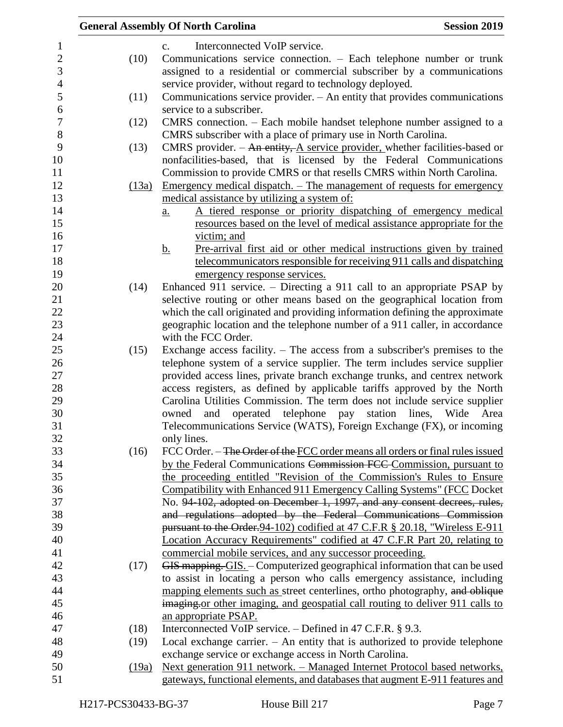|       | <b>Session 2019</b><br><b>General Assembly Of North Carolina</b>                  |
|-------|-----------------------------------------------------------------------------------|
|       | Interconnected VoIP service.<br>$C_{\bullet}$                                     |
| (10)  | Communications service connection. - Each telephone number or trunk               |
|       | assigned to a residential or commercial subscriber by a communications            |
|       | service provider, without regard to technology deployed.                          |
| (11)  | Communications service provider. - An entity that provides communications         |
|       | service to a subscriber.                                                          |
| (12)  | CMRS connection. – Each mobile handset telephone number assigned to a             |
|       | CMRS subscriber with a place of primary use in North Carolina.                    |
| (13)  | CMRS provider. $-$ An entity, A service provider, whether facilities-based or     |
|       | nonfacilities-based, that is licensed by the Federal Communications               |
|       | Commission to provide CMRS or that resells CMRS within North Carolina.            |
| (13a) | <u>Emergency medical dispatch. – The management of requests for emergency</u>     |
|       | medical assistance by utilizing a system of:                                      |
|       | A tiered response or priority dispatching of emergency medical<br>a.              |
|       | resources based on the level of medical assistance appropriate for the            |
|       | victim; and                                                                       |
|       | Pre-arrival first aid or other medical instructions given by trained<br><u>b.</u> |
|       | telecommunicators responsible for receiving 911 calls and dispatching             |
|       | emergency response services.                                                      |
| (14)  | Enhanced 911 service. – Directing a 911 call to an appropriate PSAP by            |
|       | selective routing or other means based on the geographical location from          |
|       | which the call originated and providing information defining the approximate      |
|       | geographic location and the telephone number of a 911 caller, in accordance       |
|       | with the FCC Order.                                                               |
| (15)  | Exchange access facility. $-$ The access from a subscriber's premises to the      |
|       | telephone system of a service supplier. The term includes service supplier        |
|       | provided access lines, private branch exchange trunks, and centrex network        |
|       | access registers, as defined by applicable tariffs approved by the North          |
|       | Carolina Utilities Commission. The term does not include service supplier         |
|       | operated telephone pay<br>station<br>lines, Wide<br>owned<br>and<br>Area          |
|       | Telecommunications Service (WATS), Foreign Exchange (FX), or incoming             |
|       | only lines.                                                                       |
| (16)  | FCC Order. – The Order of the FCC order means all orders or final rules issued    |
|       | by the Federal Communications Commission FCC Commission, pursuant to              |
|       | the proceeding entitled "Revision of the Commission's Rules to Ensure             |
|       | Compatibility with Enhanced 911 Emergency Calling Systems" (FCC Docket            |
|       | No. 94-102, adopted on December 1, 1997, and any consent decrees, rules,          |
|       | and regulations adopted by the Federal Communications Commission                  |
|       | pursuant to the Order. 94-102) codified at 47 C.F.R § 20.18, "Wireless E-911      |
|       | Location Accuracy Requirements" codified at 47 C.F.R Part 20, relating to         |
|       | commercial mobile services, and any successor proceeding.                         |
| (17)  | GIS mapping. GIS. - Computerized geographical information that can be used        |
|       | to assist in locating a person who calls emergency assistance, including          |
|       | mapping elements such as street centerlines, ortho photography, and oblique       |
|       | imaging or other imaging, and geospatial call routing to deliver 911 calls to     |
|       | an appropriate PSAP.                                                              |
| (18)  | Interconnected VoIP service. $-$ Defined in 47 C.F.R. § 9.3.                      |
| (19)  | Local exchange carrier. $-$ An entity that is authorized to provide telephone     |
|       | exchange service or exchange access in North Carolina.                            |
| (19a) | Next generation 911 network. - Managed Internet Protocol based networks,          |
|       | gateways, functional elements, and databases that augment E-911 features and      |
|       |                                                                                   |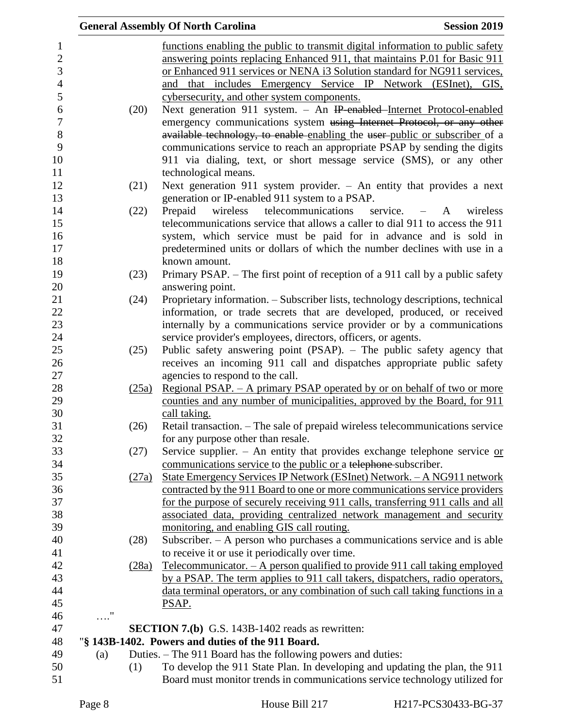|            |       | <b>General Assembly Of North Carolina</b><br><b>Session 2019</b>                                                    |
|------------|-------|---------------------------------------------------------------------------------------------------------------------|
|            |       | functions enabling the public to transmit digital information to public safety                                      |
|            |       | answering points replacing Enhanced 911, that maintains P.01 for Basic 911                                          |
|            |       | or Enhanced 911 services or NENA i3 Solution standard for NG911 services,                                           |
|            |       | and that includes Emergency Service IP Network (ESInet), GIS,                                                       |
|            |       | cybersecurity, and other system components.                                                                         |
|            | (20)  | Next generation 911 system. - An IP-enabled-Internet Protocol-enabled                                               |
|            |       | emergency communications system using Internet Protocol, or any other                                               |
|            |       | available technology, to enable enabling the user-public or subscriber of a                                         |
|            |       | communications service to reach an appropriate PSAP by sending the digits                                           |
|            |       | 911 via dialing, text, or short message service (SMS), or any other                                                 |
|            |       | technological means.                                                                                                |
|            | (21)  | Next generation 911 system provider. $-$ An entity that provides a next                                             |
|            |       | generation or IP-enabled 911 system to a PSAP.                                                                      |
|            | (22)  | telecommunications<br>Prepaid<br>wireless<br>service. $-A$<br>wireless                                              |
|            |       | telecommunications service that allows a caller to dial 911 to access the 911                                       |
|            |       | system, which service must be paid for in advance and is sold in                                                    |
|            |       | predetermined units or dollars of which the number declines with use in a                                           |
|            |       | known amount.                                                                                                       |
|            | (23)  | Primary PSAP. – The first point of reception of a 911 call by a public safety                                       |
|            |       | answering point.                                                                                                    |
|            | (24)  | Proprietary information. - Subscriber lists, technology descriptions, technical                                     |
|            |       | information, or trade secrets that are developed, produced, or received                                             |
|            |       | internally by a communications service provider or by a communications                                              |
|            |       | service provider's employees, directors, officers, or agents.                                                       |
|            | (25)  | Public safety answering point (PSAP). - The public safety agency that                                               |
|            |       | receives an incoming 911 call and dispatches appropriate public safety                                              |
|            |       | agencies to respond to the call.                                                                                    |
|            | (25a) | <u>Regional PSAP. – A primary PSAP operated by or on behalf of two or more</u>                                      |
|            |       | counties and any number of municipalities, approved by the Board, for 911                                           |
|            | (26)  | call taking.                                                                                                        |
|            |       | Retail transaction. - The sale of prepaid wireless telecommunications service<br>for any purpose other than resale. |
|            | (27)  | Service supplier. - An entity that provides exchange telephone service $or$                                         |
|            |       | communications service to the public or a telephone subscriber.                                                     |
|            | (27a) | State Emergency Services IP Network (ESInet) Network. - A NG911 network                                             |
|            |       | contracted by the 911 Board to one or more communications service providers                                         |
|            |       | for the purpose of securely receiving 911 calls, transferring 911 calls and all                                     |
|            |       | associated data, providing centralized network management and security                                              |
|            |       | monitoring, and enabling GIS call routing.                                                                          |
|            | (28)  | Subscriber. - A person who purchases a communications service and is able                                           |
|            |       | to receive it or use it periodically over time.                                                                     |
|            | (28a) | Telecommunicator. $- A$ person qualified to provide 911 call taking employed                                        |
|            |       | by a PSAP. The term applies to 911 call takers, dispatchers, radio operators,                                       |
|            |       | data terminal operators, or any combination of such call taking functions in a                                      |
|            |       | PSAP.                                                                                                               |
| $\ldots$ " |       |                                                                                                                     |
|            |       | <b>SECTION 7.(b)</b> G.S. 143B-1402 reads as rewritten:                                                             |
|            |       | "§ 143B-1402. Powers and duties of the 911 Board.                                                                   |
| (a)        |       | Duties. – The 911 Board has the following powers and duties:                                                        |
|            | (1)   | To develop the 911 State Plan. In developing and updating the plan, the 911                                         |
|            |       | Board must monitor trends in communications service technology utilized for                                         |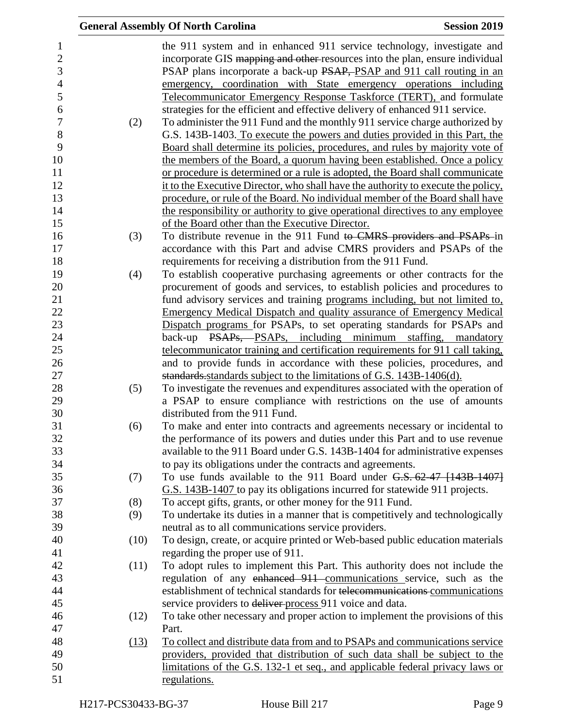|      | <b>General Assembly Of North Carolina</b>                                         | <b>Session 2019</b> |
|------|-----------------------------------------------------------------------------------|---------------------|
|      | the 911 system and in enhanced 911 service technology, investigate and            |                     |
|      | incorporate GIS mapping and other resources into the plan, ensure individual      |                     |
|      | PSAP plans incorporate a back-up PSAP, PSAP and 911 call routing in an            |                     |
|      | emergency, coordination with State emergency operations including                 |                     |
|      | Telecommunicator Emergency Response Taskforce (TERT), and formulate               |                     |
|      | strategies for the efficient and effective delivery of enhanced 911 service.      |                     |
| (2)  | To administer the 911 Fund and the monthly 911 service charge authorized by       |                     |
|      | G.S. 143B-1403. To execute the powers and duties provided in this Part, the       |                     |
|      | Board shall determine its policies, procedures, and rules by majority vote of     |                     |
|      | the members of the Board, a quorum having been established. Once a policy         |                     |
|      | or procedure is determined or a rule is adopted, the Board shall communicate      |                     |
|      | it to the Executive Director, who shall have the authority to execute the policy, |                     |
|      | procedure, or rule of the Board. No individual member of the Board shall have     |                     |
|      | the responsibility or authority to give operational directives to any employee    |                     |
|      | of the Board other than the Executive Director.                                   |                     |
| (3)  | To distribute revenue in the 911 Fund to CMRS providers and PSAPs in              |                     |
|      | accordance with this Part and advise CMRS providers and PSAPs of the              |                     |
|      | requirements for receiving a distribution from the 911 Fund.                      |                     |
| (4)  | To establish cooperative purchasing agreements or other contracts for the         |                     |
|      | procurement of goods and services, to establish policies and procedures to        |                     |
|      | fund advisory services and training programs including, but not limited to,       |                     |
|      | <b>Emergency Medical Dispatch and quality assurance of Emergency Medical</b>      |                     |
|      | Dispatch programs for PSAPs, to set operating standards for PSAPs and             |                     |
|      | back-up PSAPs, PSAPs, including minimum staffing, mandatory                       |                     |
|      | telecommunicator training and certification requirements for 911 call taking,     |                     |
|      | and to provide funds in accordance with these policies, procedures, and           |                     |
|      | standards standards subject to the limitations of G.S. 143B-1406(d).              |                     |
| (5)  | To investigate the revenues and expenditures associated with the operation of     |                     |
|      | a PSAP to ensure compliance with restrictions on the use of amounts               |                     |
|      | distributed from the 911 Fund.                                                    |                     |
| (6)  | To make and enter into contracts and agreements necessary or incidental to        |                     |
|      | the performance of its powers and duties under this Part and to use revenue       |                     |
|      | available to the 911 Board under G.S. 143B-1404 for administrative expenses       |                     |
|      | to pay its obligations under the contracts and agreements.                        |                     |
| (7)  | To use funds available to the 911 Board under G.S. 62-47 [143B-1407]              |                     |
|      | G.S. 143B-1407 to pay its obligations incurred for statewide 911 projects.        |                     |
| (8)  | To accept gifts, grants, or other money for the 911 Fund.                         |                     |
| (9)  | To undertake its duties in a manner that is competitively and technologically     |                     |
|      | neutral as to all communications service providers.                               |                     |
| (10) | To design, create, or acquire printed or Web-based public education materials     |                     |
|      | regarding the proper use of 911.                                                  |                     |
| (11) | To adopt rules to implement this Part. This authority does not include the        |                     |
|      | regulation of any enhanced 911 communications service, such as the                |                     |
|      | establishment of technical standards for telecommunications communications        |                     |
|      | service providers to deliver process 911 voice and data.                          |                     |
| (12) | To take other necessary and proper action to implement the provisions of this     |                     |
|      | Part.                                                                             |                     |
| (13) | To collect and distribute data from and to PSAPs and communications service       |                     |
|      | providers, provided that distribution of such data shall be subject to the        |                     |
|      | limitations of the G.S. 132-1 et seq., and applicable federal privacy laws or     |                     |
|      | regulations.                                                                      |                     |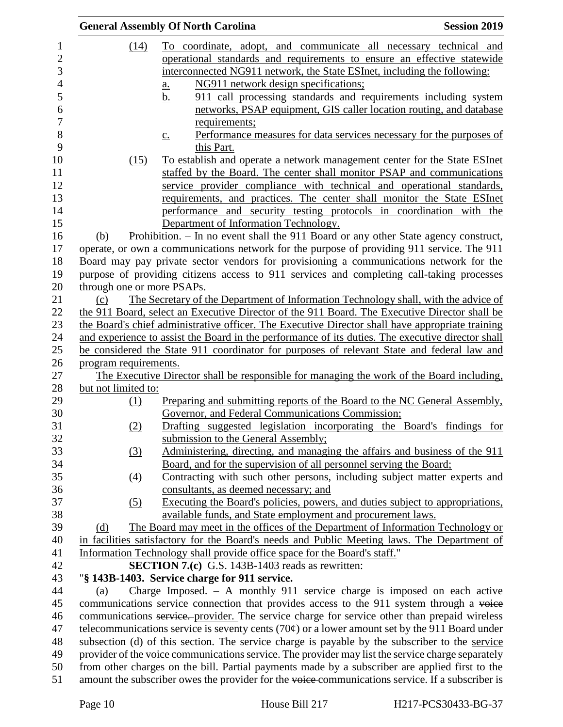|                            | <b>General Assembly Of North Carolina</b><br><b>Session 2019</b>                                         |
|----------------------------|----------------------------------------------------------------------------------------------------------|
| (14)                       | To coordinate, adopt, and communicate all necessary technical and                                        |
|                            | operational standards and requirements to ensure an effective statewide                                  |
|                            | interconnected NG911 network, the State ESInet, including the following:                                 |
|                            | NG911 network design specifications;<br>$\underline{a}$ .                                                |
|                            | 911 call processing standards and requirements including system<br><u>b.</u>                             |
|                            | networks, PSAP equipment, GIS caller location routing, and database                                      |
|                            | requirements;                                                                                            |
|                            | Performance measures for data services necessary for the purposes of<br>$\underline{c}$ .                |
|                            | this Part.                                                                                               |
| (15)                       | To establish and operate a network management center for the State ESInet                                |
|                            | staffed by the Board. The center shall monitor PSAP and communications                                   |
|                            | service provider compliance with technical and operational standards,                                    |
|                            | requirements, and practices. The center shall monitor the State ESInet                                   |
|                            | performance and security testing protocols in coordination with the                                      |
|                            | Department of Information Technology.                                                                    |
| (b)                        | Prohibition. - In no event shall the 911 Board or any other State agency construct,                      |
|                            | operate, or own a communications network for the purpose of providing 911 service. The 911               |
|                            | Board may pay private sector vendors for provisioning a communications network for the                   |
|                            | purpose of providing citizens access to 911 services and completing call-taking processes                |
| through one or more PSAPs. |                                                                                                          |
| (c)                        | The Secretary of the Department of Information Technology shall, with the advice of                      |
|                            | the 911 Board, select an Executive Director of the 911 Board. The Executive Director shall be            |
|                            | the Board's chief administrative officer. The Executive Director shall have appropriate training         |
|                            | and experience to assist the Board in the performance of its duties. The executive director shall        |
|                            | be considered the State 911 coordinator for purposes of relevant State and federal law and               |
| program requirements.      |                                                                                                          |
|                            | The Executive Director shall be responsible for managing the work of the Board including,                |
| but not limited to:        |                                                                                                          |
| (1)                        | Preparing and submitting reports of the Board to the NC General Assembly,                                |
|                            | Governor, and Federal Communications Commission;                                                         |
| (2)                        | Drafting suggested legislation incorporating the Board's findings for                                    |
|                            | submission to the General Assembly;                                                                      |
| $\left(3\right)$           | Administering, directing, and managing the affairs and business of the 911                               |
|                            | Board, and for the supervision of all personnel serving the Board;                                       |
| $\left(4\right)$           | Contracting with such other persons, including subject matter experts and                                |
|                            | consultants, as deemed necessary; and                                                                    |
| (5)                        | Executing the Board's policies, powers, and duties subject to appropriations,                            |
|                            | available funds, and State employment and procurement laws.                                              |
| (d)                        | The Board may meet in the offices of the Department of Information Technology or                         |
|                            | in facilities satisfactory for the Board's needs and Public Meeting laws. The Department of              |
|                            | Information Technology shall provide office space for the Board's staff."                                |
|                            | <b>SECTION 7.(c)</b> G.S. 143B-1403 reads as rewritten:                                                  |
|                            | "§ 143B-1403. Service charge for 911 service.                                                            |
| (a)                        | Charge Imposed. $-$ A monthly 911 service charge is imposed on each active                               |
|                            | communications service connection that provides access to the 911 system through a voice                 |
|                            | communications service. provider. The service charge for service other than prepaid wireless             |
|                            | telecommunications service is seventy cents (70 $\varphi$ ) or a lower amount set by the 911 Board under |
|                            | subsection (d) of this section. The service charge is payable by the subscriber to the service           |
|                            | provider of the voice communications service. The provider may list the service charge separately        |
|                            | from other charges on the bill. Partial payments made by a subscriber are applied first to the           |
|                            | amount the subscriber owes the provider for the voice-communications service. If a subscriber is         |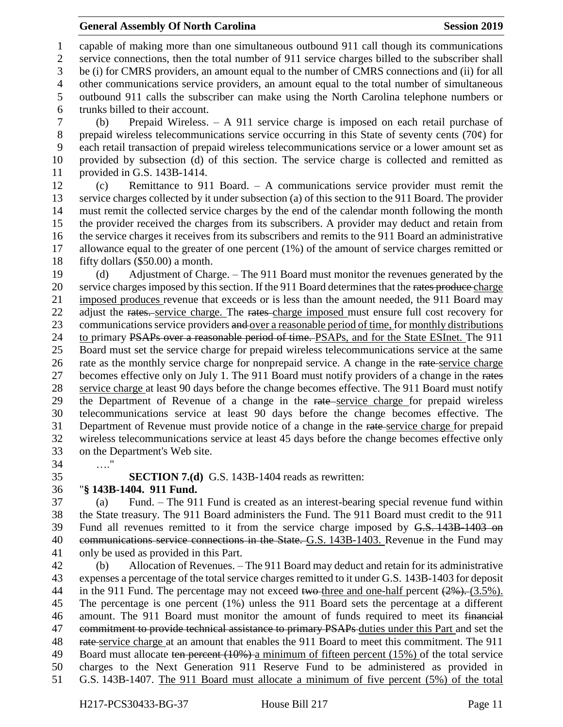#### **General Assembly Of North Carolina Session 2019 Session 2019**

 capable of making more than one simultaneous outbound 911 call though its communications service connections, then the total number of 911 service charges billed to the subscriber shall be (i) for CMRS providers, an amount equal to the number of CMRS connections and (ii) for all other communications service providers, an amount equal to the total number of simultaneous outbound 911 calls the subscriber can make using the North Carolina telephone numbers or trunks billed to their account.

 (b) Prepaid Wireless. – A 911 service charge is imposed on each retail purchase of prepaid wireless telecommunications service occurring in this State of seventy cents (70¢) for each retail transaction of prepaid wireless telecommunications service or a lower amount set as provided by subsection (d) of this section. The service charge is collected and remitted as provided in G.S. 143B-1414.

 (c) Remittance to 911 Board. – A communications service provider must remit the service charges collected by it under subsection (a) of this section to the 911 Board. The provider must remit the collected service charges by the end of the calendar month following the month the provider received the charges from its subscribers. A provider may deduct and retain from the service charges it receives from its subscribers and remits to the 911 Board an administrative allowance equal to the greater of one percent (1%) of the amount of service charges remitted or fifty dollars (\$50.00) a month.

 (d) Adjustment of Charge. – The 911 Board must monitor the revenues generated by the 20 service charges imposed by this section. If the 911 Board determines that the rates produce charge imposed produces revenue that exceeds or is less than the amount needed, the 911 Board may 22 adjust the rates. service charge. The rates charge imposed must ensure full cost recovery for 23 communications service providers and over a reasonable period of time, for monthly distributions 24 to primary PSAPs over a reasonable period of time. PSAPs, and for the State ESInet. The 911 Board must set the service charge for prepaid wireless telecommunications service at the same 26 rate as the monthly service charge for nonprepaid service. A change in the rate-service charge 27 becomes effective only on July 1. The 911 Board must notify providers of a change in the rates 28 service charge at least 90 days before the change becomes effective. The 911 Board must notify 29 the Department of Revenue of a change in the rate service charge for prepaid wireless telecommunications service at least 90 days before the change becomes effective. The Department of Revenue must provide notice of a change in the rate service charge for prepaid wireless telecommunications service at least 45 days before the change becomes effective only on the Department's Web site.

…."

**SECTION 7.(d)** G.S. 143B-1404 reads as rewritten:

### "**§ 143B-1404. 911 Fund.**

 (a) Fund. – The 911 Fund is created as an interest-bearing special revenue fund within the State treasury. The 911 Board administers the Fund. The 911 Board must credit to the 911 Fund all revenues remitted to it from the service charge imposed by G.S. 143B-1403 on 40 communications service connections in the State. G.S. 143B-1403. Revenue in the Fund may only be used as provided in this Part.

 (b) Allocation of Revenues. – The 911 Board may deduct and retain for its administrative expenses a percentage of the total service charges remitted to it under G.S. 143B-1403 for deposit 44 in the 911 Fund. The percentage may not exceed two-three and one-half percent  $(2\%)$ . (3.5%). The percentage is one percent (1%) unless the 911 Board sets the percentage at a different amount. The 911 Board must monitor the amount of funds required to meet its financial 47 commitment to provide technical assistance to primary PSAPs duties under this Part and set the 48 rate service charge at an amount that enables the 911 Board to meet this commitment. The 911 49 Board must allocate ten percent (10%) a minimum of fifteen percent (15%) of the total service charges to the Next Generation 911 Reserve Fund to be administered as provided in G.S. 143B-1407. The 911 Board must allocate a minimum of five percent (5%) of the total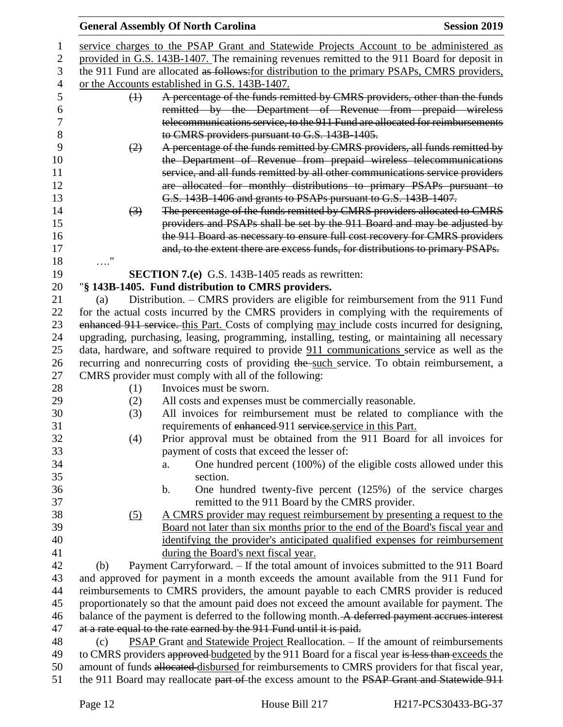|                |                                                                                                 | <b>General Assembly Of North Carolina</b>                                                      | <b>Session 2019</b> |
|----------------|-------------------------------------------------------------------------------------------------|------------------------------------------------------------------------------------------------|---------------------|
| 1              |                                                                                                 | service charges to the PSAP Grant and Statewide Projects Account to be administered as         |                     |
| $\overline{2}$ |                                                                                                 | provided in G.S. 143B-1407. The remaining revenues remitted to the 911 Board for deposit in    |                     |
| 3              |                                                                                                 | the 911 Fund are allocated as follows: for distribution to the primary PSAPs, CMRS providers,  |                     |
| 4              |                                                                                                 | or the Accounts established in G.S. 143B-1407.                                                 |                     |
| 5              | $\leftrightarrow$                                                                               | A percentage of the funds remitted by CMRS providers, other than the funds                     |                     |
| 6              |                                                                                                 | remitted by the Department of Revenue from prepaid wireless                                    |                     |
| 7              |                                                                                                 | telecommunications service, to the 911 Fund are allocated for reimbursements                   |                     |
| 8              |                                                                                                 | to CMRS providers pursuant to G.S. 143B-1405.                                                  |                     |
| 9              | (2)                                                                                             | A percentage of the funds remitted by CMRS providers, all funds remitted by                    |                     |
| 10             |                                                                                                 | the Department of Revenue from prepaid wireless telecommunications                             |                     |
| 11             |                                                                                                 | service, and all funds remitted by all other communications service providers                  |                     |
| 12             |                                                                                                 | are allocated for monthly distributions to primary PSAPs pursuant to                           |                     |
| 13             |                                                                                                 | G.S. 143B-1406 and grants to PSAPs pursuant to G.S. 143B-1407.                                 |                     |
| 14             | $\left(3\right)$                                                                                | The percentage of the funds remitted by CMRS providers allocated to CMRS                       |                     |
| 15             |                                                                                                 | providers and PSAPs shall be set by the 911 Board and may be adjusted by                       |                     |
| 16             |                                                                                                 | the 911 Board as necessary to ensure full cost recovery for CMRS providers                     |                     |
| 17             |                                                                                                 | and, to the extent there are excess funds, for distributions to primary PSAPs.                 |                     |
| 18             | $\ldots$ ."                                                                                     |                                                                                                |                     |
| 19             |                                                                                                 | <b>SECTION 7.(e)</b> G.S. 143B-1405 reads as rewritten:                                        |                     |
| 20             |                                                                                                 | "§ 143B-1405. Fund distribution to CMRS providers.                                             |                     |
| 21             | (a)                                                                                             | Distribution. - CMRS providers are eligible for reimbursement from the 911 Fund                |                     |
| 22             |                                                                                                 | for the actual costs incurred by the CMRS providers in complying with the requirements of      |                     |
| 23             |                                                                                                 | enhanced 911 service. this Part. Costs of complying may include costs incurred for designing,  |                     |
| 24             |                                                                                                 | upgrading, purchasing, leasing, programming, installing, testing, or maintaining all necessary |                     |
| 25             |                                                                                                 | data, hardware, and software required to provide 911 communications service as well as the     |                     |
| 26             |                                                                                                 | recurring and nonrecurring costs of providing the such service. To obtain reimbursement, a     |                     |
| 27             |                                                                                                 | CMRS provider must comply with all of the following:                                           |                     |
| 28             | (1)                                                                                             | Invoices must be sworn.                                                                        |                     |
| 29             | (2)                                                                                             | All costs and expenses must be commercially reasonable.                                        |                     |
| 30             | (3)                                                                                             | All invoices for reimbursement must be related to compliance with the                          |                     |
| 31             |                                                                                                 | requirements of enhanced 911 service.service in this Part.                                     |                     |
| 32             | (4)                                                                                             | Prior approval must be obtained from the 911 Board for all invoices for                        |                     |
| 33             |                                                                                                 | payment of costs that exceed the lesser of:                                                    |                     |
| 34             |                                                                                                 | One hundred percent (100%) of the eligible costs allowed under this<br>a.                      |                     |
| 35             |                                                                                                 | section.                                                                                       |                     |
| 36             |                                                                                                 | One hundred twenty-five percent $(125%)$ of the service charges<br>b.                          |                     |
| 37             |                                                                                                 | remitted to the 911 Board by the CMRS provider.                                                |                     |
| 38             | (5)                                                                                             | A CMRS provider may request reimbursement by presenting a request to the                       |                     |
| 39             |                                                                                                 | Board not later than six months prior to the end of the Board's fiscal year and                |                     |
| 40             |                                                                                                 | identifying the provider's anticipated qualified expenses for reimbursement                    |                     |
| 41             |                                                                                                 | during the Board's next fiscal year.                                                           |                     |
| 42             | (b)                                                                                             | Payment Carryforward. - If the total amount of invoices submitted to the 911 Board             |                     |
| 43             |                                                                                                 | and approved for payment in a month exceeds the amount available from the 911 Fund for         |                     |
| 44             |                                                                                                 | reimbursements to CMRS providers, the amount payable to each CMRS provider is reduced          |                     |
| 45             |                                                                                                 | proportionately so that the amount paid does not exceed the amount available for payment. The  |                     |
| 46             |                                                                                                 | balance of the payment is deferred to the following month. A deferred payment accrues interest |                     |
| 47             |                                                                                                 | at a rate equal to the rate earned by the 911 Fund until it is paid.                           |                     |
| 48             | (c)                                                                                             | PSAP Grant and Statewide Project Reallocation. - If the amount of reimbursements               |                     |
| 49             | to CMRS providers approved budgeted by the 911 Board for a fiscal year is less than exceeds the |                                                                                                |                     |
| 50             | amount of funds allocated disbursed for reimbursements to CMRS providers for that fiscal year,  |                                                                                                |                     |
| 51             |                                                                                                 | the 911 Board may reallocate part of the excess amount to the PSAP Grant and Statewide 911     |                     |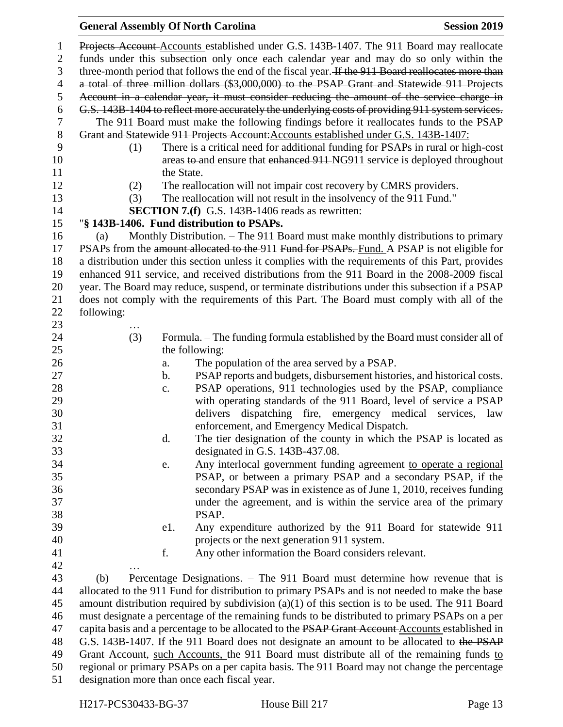# **General Assembly Of North Carolina Session 2019**

| $\mathbf{1}$   |            | Projects Account-Accounts established under G.S. 143B-1407. The 911 Board may reallocate           |
|----------------|------------|----------------------------------------------------------------------------------------------------|
| $\mathbf{2}$   |            | funds under this subsection only once each calendar year and may do so only within the             |
| 3              |            | three-month period that follows the end of the fiscal year. If the 911 Board reallocates more than |
| $\overline{4}$ |            | a total of three million dollars (\$3,000,000) to the PSAP Grant and Statewide 911 Projects        |
| 5              |            | Account in a calendar year, it must consider reducing the amount of the service charge in          |
| 6              |            | G.S. 143B-1404 to reflect more accurately the underlying costs of providing 911 system services.   |
| $\tau$         |            | The 911 Board must make the following findings before it reallocates funds to the PSAP             |
| $8\,$          |            | Grant and Statewide 911 Projects Account: Accounts established under G.S. 143B-1407:               |
| 9              | (1)        | There is a critical need for additional funding for PSAPs in rural or high-cost                    |
| 10             |            | areas to and ensure that enhanced 911-NG911 service is deployed throughout                         |
| 11             |            | the State.                                                                                         |
| 12             | (2)        | The reallocation will not impair cost recovery by CMRS providers.                                  |
| 13             | (3)        | The reallocation will not result in the insolvency of the 911 Fund."                               |
| 14             |            | <b>SECTION 7.(f)</b> G.S. 143B-1406 reads as rewritten:                                            |
| 15             |            | "§ 143B-1406. Fund distribution to PSAPs.                                                          |
| 16             | (a)        | Monthly Distribution. – The 911 Board must make monthly distributions to primary                   |
| 17             |            | PSAPs from the amount allocated to the 911 Fund for PSAPs. Fund. A PSAP is not eligible for        |
| 18             |            | a distribution under this section unless it complies with the requirements of this Part, provides  |
| 19             |            | enhanced 911 service, and received distributions from the 911 Board in the 2008-2009 fiscal        |
| 20             |            | year. The Board may reduce, suspend, or terminate distributions under this subsection if a PSAP    |
| 21             |            | does not comply with the requirements of this Part. The Board must comply with all of the          |
| 22             | following: |                                                                                                    |
| 23             |            |                                                                                                    |
| 24             | (3)        | Formula. – The funding formula established by the Board must consider all of                       |
| 25             |            | the following:                                                                                     |
| 26             |            | The population of the area served by a PSAP.<br>a.                                                 |
| 27             |            | PSAP reports and budgets, disbursement histories, and historical costs.<br>$\mathbf b$ .           |
| 28             |            | PSAP operations, 911 technologies used by the PSAP, compliance<br>$\mathbf{c}$ .                   |
| 29             |            | with operating standards of the 911 Board, level of service a PSAP                                 |
| 30             |            | delivers dispatching fire, emergency medical services, law                                         |
| 31             |            | enforcement, and Emergency Medical Dispatch.                                                       |
| 32             |            | The tier designation of the county in which the PSAP is located as<br>d.                           |
| 33             |            | designated in G.S. $143B-437.08$ .                                                                 |
| 34             |            | Any interlocal government funding agreement to operate a regional<br>e.                            |
| 35             |            | PSAP, or between a primary PSAP and a secondary PSAP, if the                                       |
| 36             |            | secondary PSAP was in existence as of June 1, 2010, receives funding                               |
| 37             |            | under the agreement, and is within the service area of the primary                                 |
| 38             |            | PSAP.                                                                                              |
| 39             |            | Any expenditure authorized by the 911 Board for statewide 911<br>e1.                               |
| 40             |            | projects or the next generation 911 system.                                                        |
| 41             |            | f.<br>Any other information the Board considers relevant.                                          |
| 42             |            |                                                                                                    |
| 43             | (b)        | Percentage Designations. - The 911 Board must determine how revenue that is                        |
| 44             |            | allocated to the 911 Fund for distribution to primary PSAPs and is not needed to make the base     |
| 45             |            | amount distribution required by subdivision $(a)(1)$ of this section is to be used. The 911 Board  |
| 46             |            | must designate a percentage of the remaining funds to be distributed to primary PSAPs on a per     |
| 47             |            | capita basis and a percentage to be allocated to the PSAP Grant Account-Accounts established in    |
| 48             |            | G.S. 143B-1407. If the 911 Board does not designate an amount to be allocated to the PSAP          |
| 49             |            | Grant Account, such Accounts, the 911 Board must distribute all of the remaining funds to          |
| 50             |            | regional or primary PSAPs on a per capita basis. The 911 Board may not change the percentage       |
| 51             |            | designation more than once each fiscal year.                                                       |
|                |            |                                                                                                    |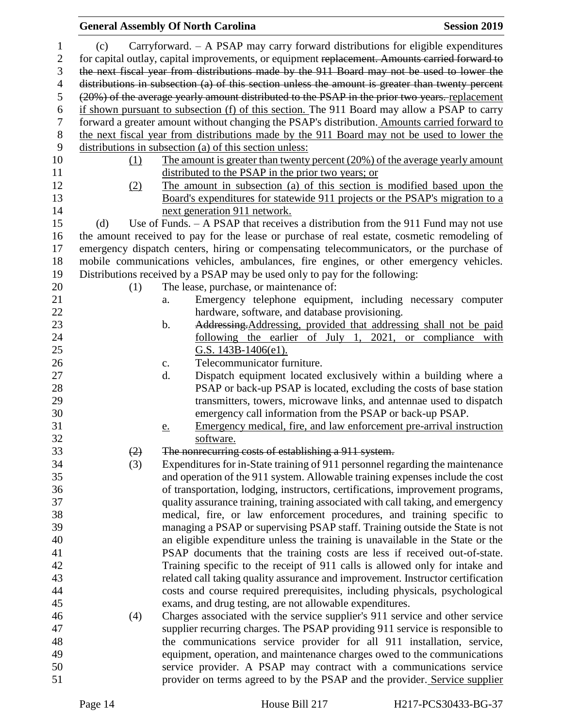|                |     | <b>General Assembly Of North Carolina</b>                                                        | <b>Session 2019</b> |
|----------------|-----|--------------------------------------------------------------------------------------------------|---------------------|
| 1              | (c) | Carryforward. $-$ A PSAP may carry forward distributions for eligible expenditures               |                     |
| $\overline{2}$ |     | for capital outlay, capital improvements, or equipment replacement. Amounts carried forward to   |                     |
| 3              |     | the next fiscal year from distributions made by the 911 Board may not be used to lower the       |                     |
| $\overline{4}$ |     | distributions in subsection (a) of this section unless the amount is greater than twenty percent |                     |
| $\mathfrak s$  |     | (20%) of the average yearly amount distributed to the PSAP in the prior two years. replacement   |                     |
| 6              |     | if shown pursuant to subsection (f) of this section. The 911 Board may allow a PSAP to carry     |                     |
| $\tau$         |     | forward a greater amount without changing the PSAP's distribution. Amounts carried forward to    |                     |
| $8\,$          |     | the next fiscal year from distributions made by the 911 Board may not be used to lower the       |                     |
| 9              |     | distributions in subsection (a) of this section unless:                                          |                     |
| 10             | (1) | The amount is greater than twenty percent (20%) of the average yearly amount                     |                     |
| 11             |     | distributed to the PSAP in the prior two years; or                                               |                     |
| 12             | (2) | The amount in subsection (a) of this section is modified based upon the                          |                     |
| 13             |     | Board's expenditures for statewide 911 projects or the PSAP's migration to a                     |                     |
| 14             |     | next generation 911 network.                                                                     |                     |
| 15             | (d) | Use of Funds. $-$ A PSAP that receives a distribution from the 911 Fund may not use              |                     |
| 16             |     | the amount received to pay for the lease or purchase of real estate, cosmetic remodeling of      |                     |
| 17             |     | emergency dispatch centers, hiring or compensating telecommunicators, or the purchase of         |                     |
| 18             |     | mobile communications vehicles, ambulances, fire engines, or other emergency vehicles.           |                     |
| 19             |     | Distributions received by a PSAP may be used only to pay for the following:                      |                     |
| 20             | (1) | The lease, purchase, or maintenance of:                                                          |                     |
| 21             |     | Emergency telephone equipment, including necessary computer<br>a.                                |                     |
| 22             |     | hardware, software, and database provisioning.                                                   |                     |
| 23             |     | Addressing, Addressing, provided that addressing shall not be paid<br>b.                         |                     |
| 24             |     | following the earlier of July 1, 2021, or compliance with                                        |                     |
| 25             |     | G.S. $143B-1406(e1)$ .                                                                           |                     |
| 26             |     | Telecommunicator furniture.<br>c.                                                                |                     |
| 27             |     | Dispatch equipment located exclusively within a building where a<br>d.                           |                     |
| 28             |     | PSAP or back-up PSAP is located, excluding the costs of base station                             |                     |
| 29             |     | transmitters, towers, microwave links, and antennae used to dispatch                             |                     |
| 30             |     | emergency call information from the PSAP or back-up PSAP.                                        |                     |
| 31             |     | Emergency medical, fire, and law enforcement pre-arrival instruction<br><u>e.</u>                |                     |
| 32             |     | software.                                                                                        |                     |
| 33             | (2) | The nonrecurring costs of establishing a 911 system.                                             |                     |
| 34             | (3) | Expenditures for in-State training of 911 personnel regarding the maintenance                    |                     |
| 35             |     | and operation of the 911 system. Allowable training expenses include the cost                    |                     |
| 36             |     | of transportation, lodging, instructors, certifications, improvement programs,                   |                     |
| 37             |     | quality assurance training, training associated with call taking, and emergency                  |                     |
| 38             |     | medical, fire, or law enforcement procedures, and training specific to                           |                     |
| 39             |     | managing a PSAP or supervising PSAP staff. Training outside the State is not                     |                     |
| 40             |     | an eligible expenditure unless the training is unavailable in the State or the                   |                     |
| 41             |     | PSAP documents that the training costs are less if received out-of-state.                        |                     |
| 42             |     | Training specific to the receipt of 911 calls is allowed only for intake and                     |                     |
| 43             |     | related call taking quality assurance and improvement. Instructor certification                  |                     |
| 44             |     | costs and course required prerequisites, including physicals, psychological                      |                     |
| 45             |     | exams, and drug testing, are not allowable expenditures.                                         |                     |
| 46             | (4) | Charges associated with the service supplier's 911 service and other service                     |                     |
| 47             |     | supplier recurring charges. The PSAP providing 911 service is responsible to                     |                     |
| 48             |     | the communications service provider for all 911 installation, service,                           |                     |
| 49             |     | equipment, operation, and maintenance charges owed to the communications                         |                     |
| 50             |     | service provider. A PSAP may contract with a communications service                              |                     |
| 51             |     | provider on terms agreed to by the PSAP and the provider. Service supplier                       |                     |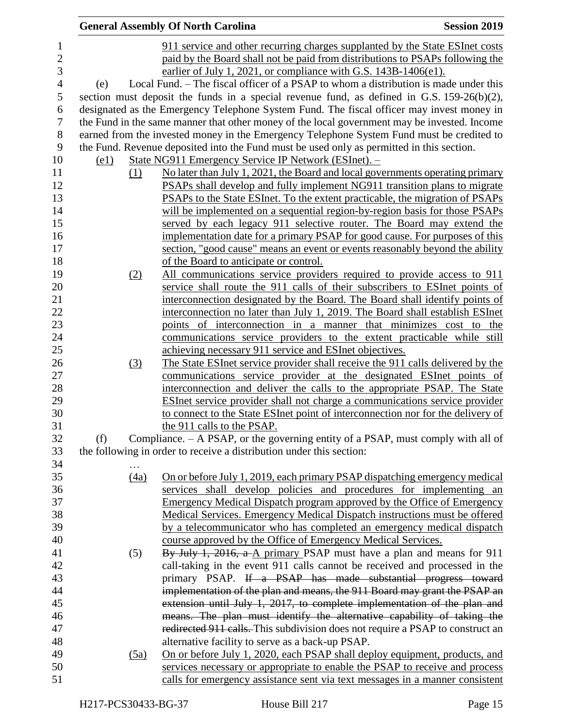|                |                    |                  | <b>General Assembly Of North Carolina</b>                                                     | <b>Session 2019</b> |
|----------------|--------------------|------------------|-----------------------------------------------------------------------------------------------|---------------------|
| $\mathbf{1}$   |                    |                  | 911 service and other recurring charges supplanted by the State ESInet costs                  |                     |
| $\overline{c}$ |                    |                  | paid by the Board shall not be paid from distributions to PSAPs following the                 |                     |
| 3              |                    |                  | earlier of July 1, 2021, or compliance with G.S. 143B-1406(e1).                               |                     |
| $\overline{4}$ | (e)                |                  | Local Fund. - The fiscal officer of a PSAP to whom a distribution is made under this          |                     |
| 5              |                    |                  | section must deposit the funds in a special revenue fund, as defined in G.S. $159-26(b)(2)$ , |                     |
| 6              |                    |                  | designated as the Emergency Telephone System Fund. The fiscal officer may invest money in     |                     |
| 7              |                    |                  | the Fund in the same manner that other money of the local government may be invested. Income  |                     |
| $8\,$          |                    |                  | earned from the invested money in the Emergency Telephone System Fund must be credited to     |                     |
| 9              |                    |                  | the Fund. Revenue deposited into the Fund must be used only as permitted in this section.     |                     |
| 10             | $\left( e1\right)$ |                  | State NG911 Emergency Service IP Network (ESInet). -                                          |                     |
| 11             |                    | (1)              | No later than July 1, 2021, the Board and local governments operating primary                 |                     |
| 12             |                    |                  | <b>PSAPs shall develop and fully implement NG911 transition plans to migrate</b>              |                     |
| 13             |                    |                  | PSAPs to the State ESInet. To the extent practicable, the migration of PSAPs                  |                     |
| 14             |                    |                  | will be implemented on a sequential region-by-region basis for those PSAPs                    |                     |
| 15             |                    |                  | served by each legacy 911 selective router. The Board may extend the                          |                     |
| 16             |                    |                  | implementation date for a primary PSAP for good cause. For purposes of this                   |                     |
| 17             |                    |                  | section, "good cause" means an event or events reasonably beyond the ability                  |                     |
| 18             |                    |                  | of the Board to anticipate or control.                                                        |                     |
| 19             |                    | (2)              | All communications service providers required to provide access to 911                        |                     |
| 20             |                    |                  | service shall route the 911 calls of their subscribers to ESInet points of                    |                     |
| 21             |                    |                  | interconnection designated by the Board. The Board shall identify points of                   |                     |
| 22             |                    |                  | interconnection no later than July 1, 2019. The Board shall establish ESInet                  |                     |
| 23             |                    |                  | points of interconnection in a manner that minimizes cost to the                              |                     |
| 24             |                    |                  | communications service providers to the extent practicable while still                        |                     |
| 25             |                    |                  | achieving necessary 911 service and ESInet objectives.                                        |                     |
| 26             |                    | $\left(3\right)$ | The State ESInet service provider shall receive the 911 calls delivered by the                |                     |
| 27             |                    |                  | communications service provider at the designated ESInet points of                            |                     |
| 28             |                    |                  | interconnection and deliver the calls to the appropriate PSAP. The State                      |                     |
| 29             |                    |                  | ESInet service provider shall not charge a communications service provider                    |                     |
| 30             |                    |                  | to connect to the State ESInet point of interconnection nor for the delivery of               |                     |
| 31             |                    |                  | the 911 calls to the PSAP.                                                                    |                     |
| 32             | (f)                |                  | Compliance. - A PSAP, or the governing entity of a PSAP, must comply with all of              |                     |
| 33             |                    |                  | the following in order to receive a distribution under this section:                          |                     |
| 34             |                    |                  |                                                                                               |                     |
| 35             |                    | (4a)             | On or before July 1, 2019, each primary PSAP dispatching emergency medical                    |                     |
| 36             |                    |                  | services shall develop policies and procedures for implementing an                            |                     |
| 37             |                    |                  | Emergency Medical Dispatch program approved by the Office of Emergency                        |                     |
| 38             |                    |                  | Medical Services. Emergency Medical Dispatch instructions must be offered                     |                     |
| 39             |                    |                  | by a telecommunicator who has completed an emergency medical dispatch                         |                     |
| 40             |                    |                  | course approved by the Office of Emergency Medical Services.                                  |                     |
| 41             |                    | (5)              | By July 1, 2016, a A primary PSAP must have a plan and means for 911                          |                     |
| 42             |                    |                  | call-taking in the event 911 calls cannot be received and processed in the                    |                     |
| 43             |                    |                  | primary PSAP. If a PSAP has made substantial progress toward                                  |                     |
| 44             |                    |                  | implementation of the plan and means, the 911 Board may grant the PSAP an                     |                     |
| 45             |                    |                  | extension until July 1, 2017, to complete implementation of the plan and                      |                     |
| 46             |                    |                  | means. The plan must identify the alternative capability of taking the                        |                     |
| 47             |                    |                  | redirected 911 calls. This subdivision does not require a PSAP to construct an                |                     |
| 48             |                    |                  | alternative facility to serve as a back-up PSAP.                                              |                     |
| 49             |                    | (5a)             | On or before July 1, 2020, each PSAP shall deploy equipment, products, and                    |                     |
| 50             |                    |                  | services necessary or appropriate to enable the PSAP to receive and process                   |                     |
| 51             |                    |                  | calls for emergency assistance sent via text messages in a manner consistent                  |                     |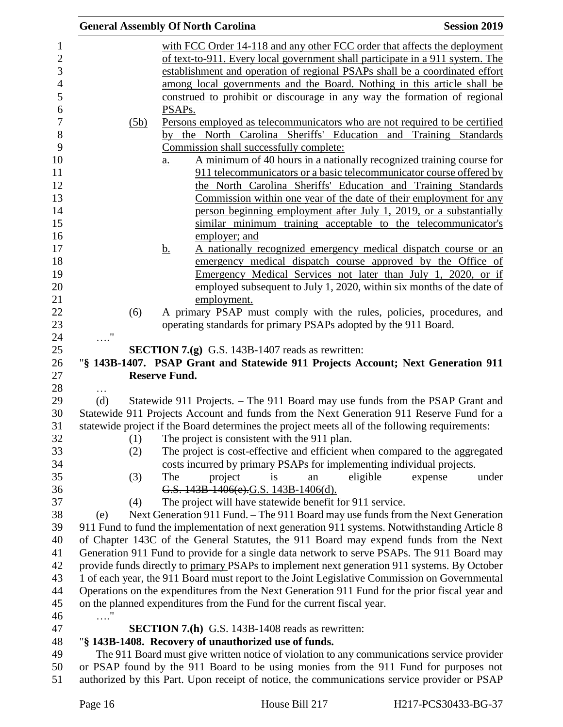|            |      | <b>General Assembly Of North Carolina</b><br><b>Session 2019</b>                                                                                                          |  |
|------------|------|---------------------------------------------------------------------------------------------------------------------------------------------------------------------------|--|
|            |      | with FCC Order 14-118 and any other FCC order that affects the deployment                                                                                                 |  |
|            |      | of text-to-911. Every local government shall participate in a 911 system. The                                                                                             |  |
|            |      | establishment and operation of regional PSAPs shall be a coordinated effort                                                                                               |  |
|            |      | among local governments and the Board. Nothing in this article shall be                                                                                                   |  |
|            |      | construed to prohibit or discourage in any way the formation of regional                                                                                                  |  |
|            |      | PSAP <sub>s</sub> .                                                                                                                                                       |  |
|            | (5b) | Persons employed as telecommunicators who are not required to be certified                                                                                                |  |
|            |      | by the North Carolina Sheriffs' Education and Training Standards                                                                                                          |  |
|            |      | Commission shall successfully complete:                                                                                                                                   |  |
|            |      | A minimum of 40 hours in a nationally recognized training course for<br>$\underline{a}$ .                                                                                 |  |
|            |      | 911 telecommunicators or a basic telecommunicator course offered by                                                                                                       |  |
|            |      | the North Carolina Sheriffs' Education and Training Standards                                                                                                             |  |
|            |      | <u>Commission within one year of the date of their employment for any</u>                                                                                                 |  |
|            |      | person beginning employment after July 1, 2019, or a substantially                                                                                                        |  |
|            |      | similar minimum training acceptable to the telecommunicator's                                                                                                             |  |
|            |      | employer; and                                                                                                                                                             |  |
|            |      | A nationally recognized emergency medical dispatch course or an<br><u>b.</u>                                                                                              |  |
|            |      | emergency medical dispatch course approved by the Office of                                                                                                               |  |
|            |      | Emergency Medical Services not later than July 1, 2020, or if                                                                                                             |  |
|            |      | employed subsequent to July 1, 2020, within six months of the date of                                                                                                     |  |
|            |      | employment.                                                                                                                                                               |  |
|            | (6)  | A primary PSAP must comply with the rules, policies, procedures, and                                                                                                      |  |
|            |      | operating standards for primary PSAPs adopted by the 911 Board.                                                                                                           |  |
| $\ldots$ " |      |                                                                                                                                                                           |  |
|            |      | <b>SECTION 7.(g)</b> G.S. 143B-1407 reads as rewritten:                                                                                                                   |  |
|            |      | "§ 143B-1407. PSAP Grant and Statewide 911 Projects Account; Next Generation 911                                                                                          |  |
|            |      | <b>Reserve Fund.</b>                                                                                                                                                      |  |
| $\cdots$   |      |                                                                                                                                                                           |  |
| (d)        |      | Statewide 911 Projects. – The 911 Board may use funds from the PSAP Grant and<br>Statewide 911 Projects Account and funds from the Next Generation 911 Reserve Fund for a |  |
|            |      | statewide project if the Board determines the project meets all of the following requirements:                                                                            |  |
|            | (1)  | The project is consistent with the 911 plan.                                                                                                                              |  |
|            | (2)  | The project is cost-effective and efficient when compared to the aggregated                                                                                               |  |
|            |      | costs incurred by primary PSAPs for implementing individual projects.                                                                                                     |  |
|            | (3)  | project<br>eligible<br>The<br>is<br>expense<br>under<br>an                                                                                                                |  |
|            |      | G.S. 143B-1406(e).G.S. 143B-1406(d).                                                                                                                                      |  |
|            | (4)  | The project will have statewide benefit for 911 service.                                                                                                                  |  |
| (e)        |      | Next Generation 911 Fund. – The 911 Board may use funds from the Next Generation                                                                                          |  |
|            |      | 911 Fund to fund the implementation of next generation 911 systems. Notwithstanding Article 8                                                                             |  |
|            |      | of Chapter 143C of the General Statutes, the 911 Board may expend funds from the Next                                                                                     |  |
|            |      | Generation 911 Fund to provide for a single data network to serve PSAPs. The 911 Board may                                                                                |  |
|            |      | provide funds directly to primary PSAPs to implement next generation 911 systems. By October                                                                              |  |
|            |      | 1 of each year, the 911 Board must report to the Joint Legislative Commission on Governmental                                                                             |  |
|            |      | Operations on the expenditures from the Next Generation 911 Fund for the prior fiscal year and                                                                            |  |
|            |      | on the planned expenditures from the Fund for the current fiscal year.                                                                                                    |  |
| . '        |      |                                                                                                                                                                           |  |
|            |      | <b>SECTION 7.(h)</b> G.S. 143B-1408 reads as rewritten:                                                                                                                   |  |
|            |      | "§ 143B-1408. Recovery of unauthorized use of funds.                                                                                                                      |  |
|            |      |                                                                                                                                                                           |  |
|            |      | The 911 Board must give written notice of violation to any communications service provider                                                                                |  |
|            |      | or PSAP found by the 911 Board to be using monies from the 911 Fund for purposes not                                                                                      |  |